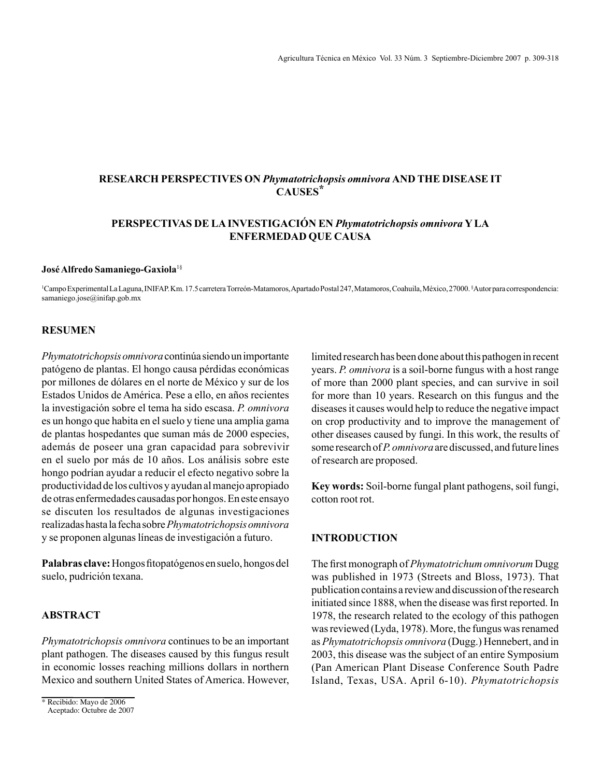# **RESEARCH PERSPECTIVES ON** *Phymatotrichopsis omnivora* **AND THE DISEASE IT CAUSES\***

# **PERSPECTIVAS DE LA INVESTIGACIÓN EN** *Phymatotrichopsis omnivora* **Y LA ENFERMEDAD QUE CAUSA**

#### **José Alfredo Samaniego-Gaxiola**1§

1 Campo Experimental La Laguna, INIFAP. Km. 17.5 carretera Torreón-Matamoros, Apartado Postal 247, Matamoros, Coahuila, México, 27000. § Autor para correspondencia: samaniego.jose@inifap.gob.mx

## **RESUMEN**

*Phymatotrichopsis omnivora* continúa siendo un importante patógeno de plantas. El hongo causa pérdidas económicas por millones de dólares en el norte de México y sur de los Estados Unidos de América. Pese a ello, en años recientes la investigación sobre el tema ha sido escasa. *P. omnivora*  es un hongo que habita en el suelo y tiene una amplia gama de plantas hospedantes que suman más de 2000 especies, además de poseer una gran capacidad para sobrevivir en el suelo por más de 10 años. Los análisis sobre este hongo podrían ayudar a reducir el efecto negativo sobre la productividad de los cultivos y ayudan al manejo apropiado de otras enfermedades causadas por hongos. En este ensayo se discuten los resultados de algunas investigaciones realizadas hasta la fecha sobre *Phymatotrichopsis omnivora* y se proponen algunas líneas de investigación a futuro.

**Palabras clave:** Hongos fitopatógenos en suelo, hongos del suelo, pudrición texana.

# **ABSTRACT**

*Phymatotrichopsis omnivora* continues to be an important plant pathogen. The diseases caused by this fungus result in economic losses reaching millions dollars in northern Mexico and southern United States of America. However, limited research has been done about this pathogen in recent years. *P. omnivora* is a soil-borne fungus with a host range of more than 2000 plant species, and can survive in soil for more than 10 years. Research on this fungus and the diseases it causes would help to reduce the negative impact on crop productivity and to improve the management of other diseases caused by fungi. In this work, the results of some research of *P. omnivora* are discussed, and future lines of research are proposed.

**Key words:** Soil-borne fungal plant pathogens, soil fungi, cotton root rot.

## **INTRODUCTION**

The first monograph of *Phymatotrichum omnivorum* Dugg was published in 1973 (Streets and Bloss, 1973). That publication contains a review and discussion of the research initiated since 1888, when the disease was first reported. In 1978, the research related to the ecology of this pathogen was reviewed (Lyda, 1978). More, the fungus was renamed as *Phymatotrichopsis omnivora* (Dugg.) Hennebert, and in 2003, this disease was the subject of an entire Symposium (Pan American Plant Disease Conference South Padre Island, Texas, USA. April 6-10). *Phymatotrichopsis* 

<sup>\*</sup> Recibido: Mayo de 2006

Aceptado: Octubre de 2007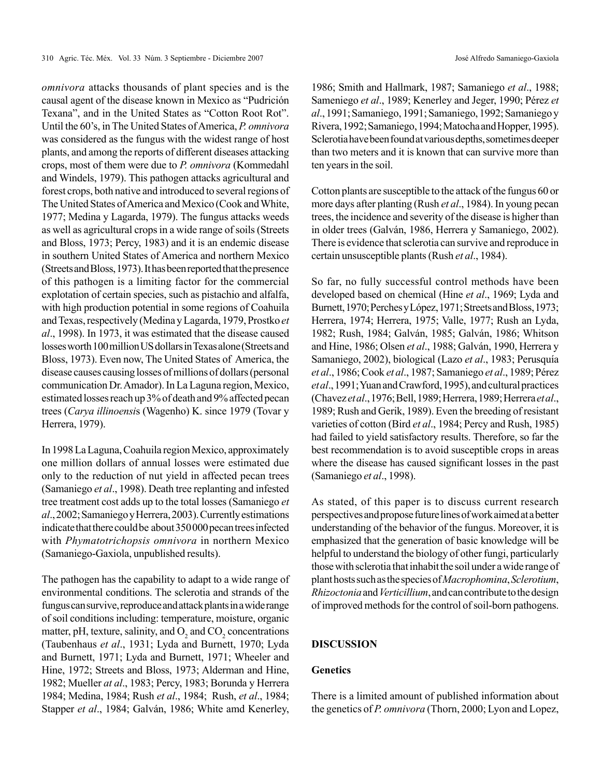*omnivora* attacks thousands of plant species and is the causal agent of the disease known in Mexico as "Pudrición Texana", and in the United States as "Cotton Root Rot". Until the 60's, in The United States of America, *P. omnivora*  was considered as the fungus with the widest range of host plants, and among the reports of different diseases attacking crops, most of them were due to *P. omnivora* (Kommedahl and Windels, 1979). This pathogen attacks agricultural and forest crops, both native and introduced to several regions of The United States of America and Mexico (Cook and White, 1977; Medina y Lagarda, 1979). The fungus attacks weeds as well as agricultural crops in a wide range of soils (Streets and Bloss, 1973; Percy, 1983) and it is an endemic disease in southern United States of America and northern Mexico (Streets and Bloss, 1973). It has been reported that the presence of this pathogen is a limiting factor for the commercial explotation of certain species, such as pistachio and alfalfa, with high production potential in some regions of Coahuila and Texas, respectively (Medina y Lagarda, 1979, Prostko *et al*., 1998). In 1973, it was estimated that the disease caused losses worth 100 million US dollars in Texas alone (Streets and Bloss, 1973). Even now, The United States of America, the disease causes causing losses of millions of dollars (personal communication Dr. Amador). In La Laguna region, Mexico, estimated losses reach up 3% of death and 9% affected pecan trees (*Carya illinoensi*s (Wagenho) K. since 1979 (Tovar y Herrera, 1979).

In 1998 La Laguna, Coahuila region Mexico, approximately one million dollars of annual losses were estimated due only to the reduction of nut yield in affected pecan trees (Samaniego *et al*., 1998). Death tree replanting and infested tree treatment cost adds up to the total losses (Samaniego *et al*., 2002; Samaniego y Herrera, 2003). Currently estimations indicate that there could be about 350 000 pecan trees infected with *Phymatotrichopsis omnivora* in northern Mexico (Samaniego-Gaxiola, unpublished results).

The pathogen has the capability to adapt to a wide range of environmental conditions. The sclerotia and strands of the fungus can survive, reproduce and attack plants in a wide range of soil conditions including: temperature, moisture, organic matter, pH, texture, salinity, and  $O_2$  and  $CO_2$  concentrations (Taubenhaus *et al*., 1931; Lyda and Burnett, 1970; Lyda and Burnett, 1971; Lyda and Burnett, 1971; Wheeler and Hine, 1972; Streets and Bloss, 1973; Alderman and Hine, 1982; Mueller *at al*., 1983; Percy, 1983; Borunda y Herrera 1984; Medina, 1984; Rush *et al*., 1984; Rush, *et al*., 1984; Stapper *et al*., 1984; Galván, 1986; White amd Kenerley,

1986; Smith and Hallmark, 1987; Samaniego *et al*., 1988; Sameniego *et al*., 1989; Kenerley and Jeger, 1990; Pérez *et al*., 1991; Samaniego, 1991; Samaniego, 1992; Samaniego y Rivera, 1992; Samaniego, 1994; Matocha and Hopper, 1995). Sclerotia have been found at various depths, sometimes deeper than two meters and it is known that can survive more than ten years in the soil.

Cotton plants are susceptible to the attack of the fungus 60 or more days after planting (Rush *et al*., 1984). In young pecan trees, the incidence and severity of the disease is higher than in older trees (Galván, 1986, Herrera y Samaniego, 2002). There is evidence that sclerotia can survive and reproduce in certain unsusceptible plants (Rush *et al*., 1984).

So far, no fully successful control methods have been developed based on chemical (Hine *et al*., 1969; Lyda and Burnett, 1970; Perches y López, 1971; Streets and Bloss, 1973; Herrera, 1974; Herrera, 1975; Valle, 1977; Rush an Lyda, 1982; Rush, 1984; Galván, 1985; Galván, 1986; Whitson and Hine, 1986; Olsen *et al*., 1988; Galván, 1990, Herrera y Samaniego, 2002), biological (Lazo *et al*., 1983; Perusquía *et al*., 1986; Cook *et al*., 1987; Samaniego *et al*., 1989; Pérez *et al*., 1991; Yuan and Crawford, 1995), and cultural practices (Chavez *et al*., 1976; Bell, 1989; Herrera, 1989; Herrera *et al*., 1989; Rush and Gerik, 1989). Even the breeding of resistant varieties of cotton (Bird *et al*., 1984; Percy and Rush, 1985) had failed to yield satisfactory results. Therefore, so far the best recommendation is to avoid susceptible crops in areas where the disease has caused significant losses in the past (Samaniego *et al*., 1998).

As stated, of this paper is to discuss current research perspectives and propose future lines of work aimed at a better understanding of the behavior of the fungus. Moreover, it is emphasized that the generation of basic knowledge will be helpful to understand the biology of other fungi, particularly those with sclerotia that inhabit the soil under a wide range of plant hosts such as the species of *Macrophomina*, *Sclerotium*, *Rhizoctonia* and *Verticillium*, and can contribute to the design of improved methods for the control of soil-born pathogens.

## **DISCUSSION**

#### **Genetics**

There is a limited amount of published information about the genetics of *P. omnivora* (Thorn, 2000; Lyon and Lopez,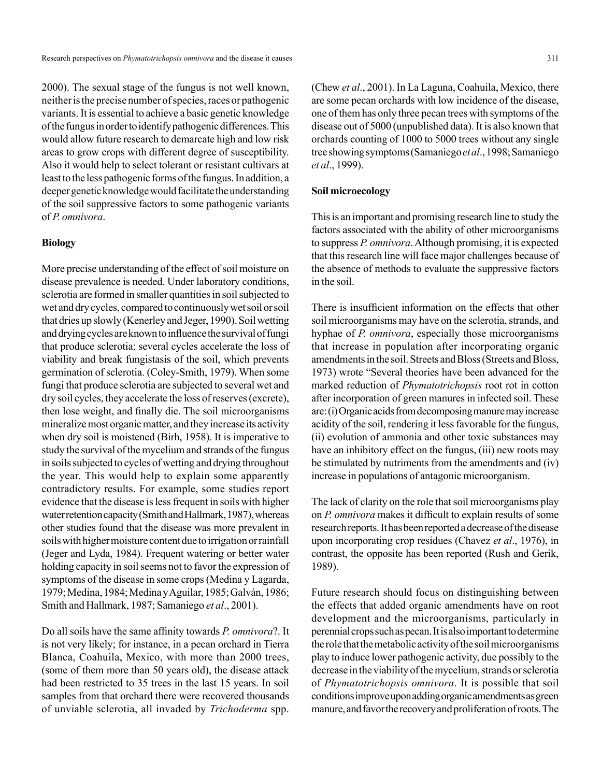2000). The sexual stage of the fungus is not well known, neither is the precise number of species, races or pathogenic variants. It is essential to achieve a basic genetic knowledge of the fungus inorder to identify pathogenic differences. This would allow future research to demarcate high and low risk areas to grow crops with different degree of susceptibility. Also it would help to select tolerant or resistant cultivars at least to the less pathogenic forms of the fungus. In addition, a deeper genetic knowledge would facilitate the understanding of the soil suppressive factors to some pathogenic variants of *P. omnivora*.

#### **Biology**

More precise understanding of the effect of soil moisture on disease prevalence is needed. Under laboratory conditions, sclerotia are formed in smaller quantities in soil subjected to wet and dry cycles, compared to continuously wet soil or soil that dries up slowly (Kenerley and Jeger, 1990). Soil wetting and drying cycles are known to influence the survival of fungi that produce sclerotia; several cycles accelerate the loss of viability and break fungistasis of the soil, which prevents germination of sclerotia. (Coley-Smith, 1979). When some fungi that produce sclerotia are subjected to several wet and dry soil cycles, they accelerate the loss of reserves (excrete), then lose weight, and finally die. The soil microorganisms mineralize most organic matter, and they increase its activity when dry soil is moistened (Birh, 1958). It is imperative to study the survival of the mycelium and strands of the fungus in soils subjected to cycles of wetting and drying throughout the year. This would help to explain some apparently contradictory results. For example, some studies report evidence that the disease is less frequent in soils with higher water retention capacity (Smith and Hallmark, 1987), whereas other studies found that the disease was more prevalent in soils with higher moisture content due to irrigation or rainfall (Jeger and Lyda, 1984). Frequent watering or better water holding capacity in soil seems not to favor the expression of symptoms of the disease in some crops (Medina y Lagarda, 1979; Medina, 1984; Medina y Aguilar, 1985; Galván, 1986; Smith and Hallmark, 1987; Samaniego *et al*., 2001).

Do all soils have the same affinity towards *P. omnivora*?. It is not very likely; for instance, in a pecan orchard in Tierra Blanca, Coahuila, Mexico, with more than 2000 trees, (some of them more than 50 years old), the disease attack had been restricted to 35 trees in the last 15 years. In soil samples from that orchard there were recovered thousands of unviable sclerotia, all invaded by *Trichoderma* spp.

(Chew *et al*., 2001). In La Laguna, Coahuila, Mexico, there are some pecan orchards with low incidence of the disease, one of them has only three pecan trees with symptoms of the disease out of 5000 (unpublished data). It is also known that orchards counting of 1000 to 5000 trees without any single tree showing symptoms (Samaniego *et al*., 1998; Samaniego *et al*., 1999).

#### **Soil microecology**

This is an important and promising research line to study the factors associated with the ability of other microorganisms to suppress *P. omnivora*. Although promising, it is expected that this research line will face major challenges because of the absence of methods to evaluate the suppressive factors in the soil.

There is insufficient information on the effects that other soil microorganisms may have on the sclerotia, strands, and hyphae of *P. omnivora*, especially those microorganisms that increase in population after incorporating organic amendments in the soil. Streets and Bloss (Streets and Bloss, 1973) wrote "Several theories have been advanced for the marked reduction of *Phymatotrichopsis* root rot in cotton after incorporation of green manures in infected soil. These are: (i) Organic acids from decomposing manure may increase acidity of the soil, rendering it less favorable for the fungus, (ii) evolution of ammonia and other toxic substances may have an inhibitory effect on the fungus, (iii) new roots may be stimulated by nutriments from the amendments and (iv) increase in populations of antagonic microorganism.

The lack of clarity on the role that soil microorganisms play on *P. omnivora* makes it difficult to explain results of some research reports. It has been reported a decrease of the disease upon incorporating crop residues (Chavez *et al*., 1976), in contrast, the opposite has been reported (Rush and Gerik, 1989).

Future research should focus on distinguishing between the effects that added organic amendments have on root development and the microorganisms, particularly in perennial crops such as pecan. It is also important to determine the role that the metabolic activity of the soil microorganisms play to induce lower pathogenic activity, due possibly to the decrease in the viability of the mycelium, strands or sclerotia of *Phymatotrichopsis omnivora*. It is possible that soil conditions improve upon adding organic amendments as green manure, and favor the recovery and proliferation of roots. The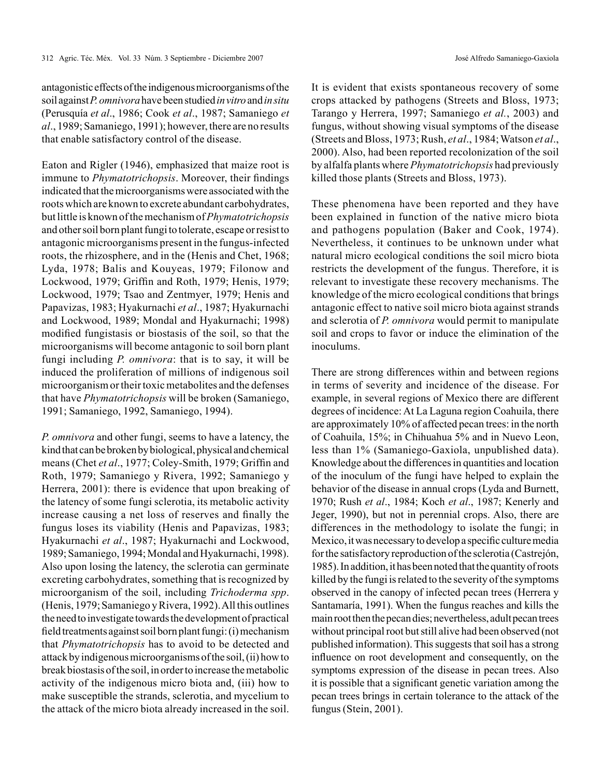José Alfredo Samaniego-Gaxiola

antagonistic effects of the indigenous microorganisms of the soil against *P. omnivora* have been studied *in vitro* and *in situ* (Perusquía *et al*., 1986; Cook *et al*., 1987; Samaniego *et al*., 1989; Samaniego, 1991); however, there are no results that enable satisfactory control of the disease.

Eaton and Rigler (1946), emphasized that maize root is immune to *Phymatotrichopsis*. Moreover, their findings indicated that the microorganisms were associated with the roots which are known to excrete abundant carbohydrates, but little is known of the mechanism of *Phymatotrichopsis*  and other soil born plant fungi to tolerate, escape or resist to antagonic microorganisms present in the fungus-infected roots, the rhizosphere, and in the (Henis and Chet, 1968; Lyda, 1978; Balis and Kouyeas, 1979; Filonow and Lockwood, 1979; Griffin and Roth, 1979; Henis, 1979; Lockwood, 1979; Tsao and Zentmyer, 1979; Henis and Papavizas, 1983; Hyakurnachi *et al*., 1987; Hyakurnachi and Lockwood, 1989; Mondal and Hyakurnachi; 1998) modified fungistasis or biostasis of the soil, so that the microorganisms will become antagonic to soil born plant fungi including *P. omnivora*: that is to say, it will be induced the proliferation of millions of indigenous soil microorganism or their toxic metabolites and the defenses that have *Phymatotrichopsis* will be broken (Samaniego, 1991; Samaniego, 1992, Samaniego, 1994).

*P. omnivora* and other fungi, seems to have a latency, the kind that can be broken by biological, physical and chemical means (Chet *et al*., 1977; Coley-Smith, 1979; Griffin and Roth, 1979; Samaniego y Rivera, 1992; Samaniego y Herrera, 2001): there is evidence that upon breaking of the latency of some fungi sclerotia, its metabolic activity increase causing a net loss of reserves and finally the fungus loses its viability (Henis and Papavizas, 1983; Hyakurnachi *et al*., 1987; Hyakurnachi and Lockwood, 1989; Samaniego, 1994; Mondal and Hyakurnachi, 1998). Also upon losing the latency, the sclerotia can germinate excreting carbohydrates, something that is recognized by microorganism of the soil, including *Trichoderma spp*. (Henis, 1979; Samaniego y Rivera, 1992). All this outlines the need to investigate towards the development of practical field treatments against soil born plant fungi: (i) mechanism that *Phymatotrichopsis* has to avoid to be detected and attack by indigenous microorganisms of the soil, (ii) how to break biostasis of the soil, in order to increase the metabolic activity of the indigenous micro biota and, (iii) how to make susceptible the strands, sclerotia, and mycelium to the attack of the micro biota already increased in the soil.

It is evident that exists spontaneous recovery of some crops attacked by pathogens (Streets and Bloss, 1973; Tarango y Herrera, 1997; Samaniego *et al.*, 2003) and fungus, without showing visual symptoms of the disease (Streets and Bloss, 1973; Rush, *et al*., 1984; Watson *et al*., 2000). Also, had been reported recolonization of the soil by alfalfa plants where *Phymatotrichopsis* had previously killed those plants (Streets and Bloss, 1973).

These phenomena have been reported and they have been explained in function of the native micro biota and pathogens population (Baker and Cook, 1974). Nevertheless, it continues to be unknown under what natural micro ecological conditions the soil micro biota restricts the development of the fungus. Therefore, it is relevant to investigate these recovery mechanisms. The knowledge of the micro ecological conditions that brings antagonic effect to native soil micro biota against strands and sclerotia of *P. omnivora* would permit to manipulate soil and crops to favor or induce the elimination of the inoculums.

There are strong differences within and between regions in terms of severity and incidence of the disease. For example, in several regions of Mexico there are different degrees of incidence: At La Laguna region Coahuila, there are approximately 10% of affected pecan trees: in the north of Coahuila, 15%; in Chihuahua 5% and in Nuevo Leon, less than 1% (Samaniego-Gaxiola, unpublished data). Knowledge about the differences in quantities and location of the inoculum of the fungi have helped to explain the behavior of the disease in annual crops (Lyda and Burnett, 1970; Rush *et al*., 1984; Koch *et al*., 1987; Kenerly and Jeger, 1990), but not in perennial crops. Also, there are differences in the methodology to isolate the fungi; in Mexico, it was necessary to develop a specific culture media for the satisfactory reproduction of the sclerotia (Castrejón, 1985). In addition, it has been noted that the quantity of roots killed by the fungi is related to the severity of the symptoms observed in the canopy of infected pecan trees (Herrera y Santamaría, 1991). When the fungus reaches and kills the main root then the pecan dies; nevertheless, adult pecan trees without principal root but still alive had been observed (not published information). This suggests that soil has a strong influence on root development and consequently, on the symptoms expression of the disease in pecan trees. Also it is possible that a significant genetic variation among the pecan trees brings in certain tolerance to the attack of the fungus (Stein, 2001).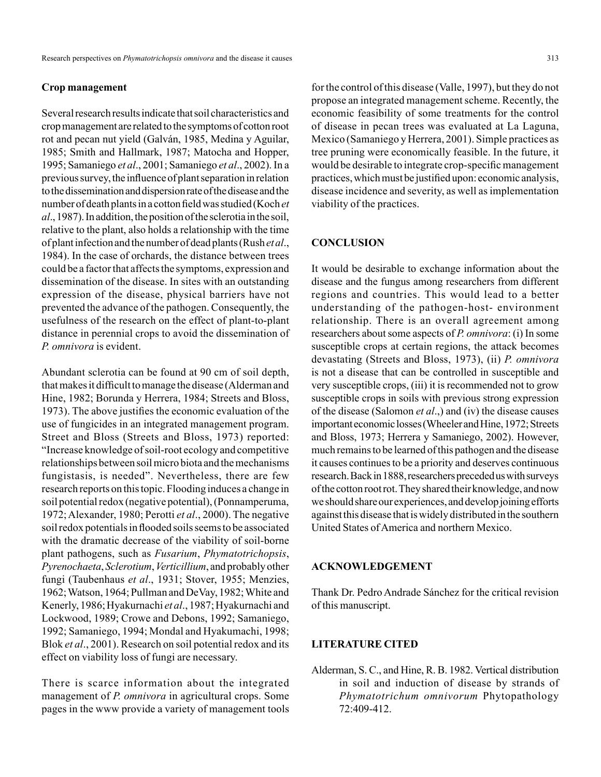#### **Crop management**

Several research results indicate that soil characteristics and crop management are related to the symptoms of cotton root rot and pecan nut yield (Galván, 1985, Medina y Aguilar, 1985; Smith and Hallmark, 1987; Matocha and Hopper, 1995; Samaniego *et al*., 2001; Samaniego *et al*., 2002). In a previous survey, the influence of plant separation in relation to the dissemination and dispersion rate of the disease and the number of death plants in a cotton field was studied (Koch *et al*., 1987). In addition, the position of the sclerotia in the soil, relative to the plant, also holds a relationship with the time of plant infection and the number of dead plants (Rush *et al*., 1984). In the case of orchards, the distance between trees could be a factor that affects the symptoms, expression and dissemination of the disease. In sites with an outstanding expression of the disease, physical barriers have not prevented the advance of the pathogen. Consequently, the usefulness of the research on the effect of plant-to-plant distance in perennial crops to avoid the dissemination of *P. omnivora* is evident.

Abundant sclerotia can be found at 90 cm of soil depth, that makes it difficult to manage the disease (Alderman and Hine, 1982; Borunda y Herrera, 1984; Streets and Bloss, 1973). The above justifies the economic evaluation of the use of fungicides in an integrated management program. Street and Bloss (Streets and Bloss, 1973) reported: "Increase knowledge of soil-root ecology and competitive relationships between soil micro biota and the mechanisms fungistasis, is needed". Nevertheless, there are few research reports on this topic. Flooding induces a change in soil potential redox (negative potential), (Ponnamperuma, 1972; Alexander, 1980; Perotti *et al*., 2000). The negative soil redox potentials in flooded soils seems to be associated with the dramatic decrease of the viability of soil-borne plant pathogens, such as *Fusarium*, *Phymatotrichopsis*, *Pyrenochaeta*, *Sclerotium*, *Verticillium*, and probably other fungi (Taubenhaus *et al*., 1931; Stover, 1955; Menzies, 1962; Watson, 1964; Pullman and DeVay, 1982; White and Kenerly, 1986; Hyakurnachi *et al*., 1987; Hyakurnachi and Lockwood, 1989; Crowe and Debons, 1992; Samaniego, 1992; Samaniego, 1994; Mondal and Hyakumachi, 1998; Blok *et al*., 2001). Research on soil potential redox and its effect on viability loss of fungi are necessary.

There is scarce information about the integrated management of *P. omnivora* in agricultural crops. Some pages in the www provide a variety of management tools

for the control of this disease (Valle, 1997), but they do not propose an integrated management scheme. Recently, the economic feasibility of some treatments for the control of disease in pecan trees was evaluated at La Laguna, Mexico (Samaniego y Herrera, 2001). Simple practices as tree pruning were economically feasible. In the future, it would be desirable to integrate crop-specific management practices, which must be justified upon: economic analysis, disease incidence and severity, as well as implementation viability of the practices.

## **CONCLUSION**

It would be desirable to exchange information about the disease and the fungus among researchers from different regions and countries. This would lead to a better understanding of the pathogen-host- environment relationship. There is an overall agreement among researchers about some aspects of *P. omnivora*: (i) In some susceptible crops at certain regions, the attack becomes devastating (Streets and Bloss, 1973), (ii) *P. omnivora* is not a disease that can be controlled in susceptible and very susceptible crops, (iii) it is recommended not to grow susceptible crops in soils with previous strong expression of the disease (Salomon *et al*.,) and (iv) the disease causes important economic losses (Wheeler and Hine, 1972; Streets and Bloss, 1973; Herrera y Samaniego, 2002). However, much remains to be learned of this pathogen and the disease it causes continues to be a priority and deserves continuous research. Back in 1888, researchers preceded us with surveys of the cotton root rot. They shared their knowledge, and now we should share our experiences, and develop joining efforts against this disease that is widely distributed in the southern United States of America and northern Mexico.

### **ACKNOWLEDGEMENT**

Thank Dr. Pedro Andrade Sánchez for the critical revision of this manuscript.

## **LITERATURE CITED**

Alderman, S. C., and Hine, R. B. 1982. Vertical distribution in soil and induction of disease by strands of *Phymatotrichum omnivorum* Phytopathology 72:409-412.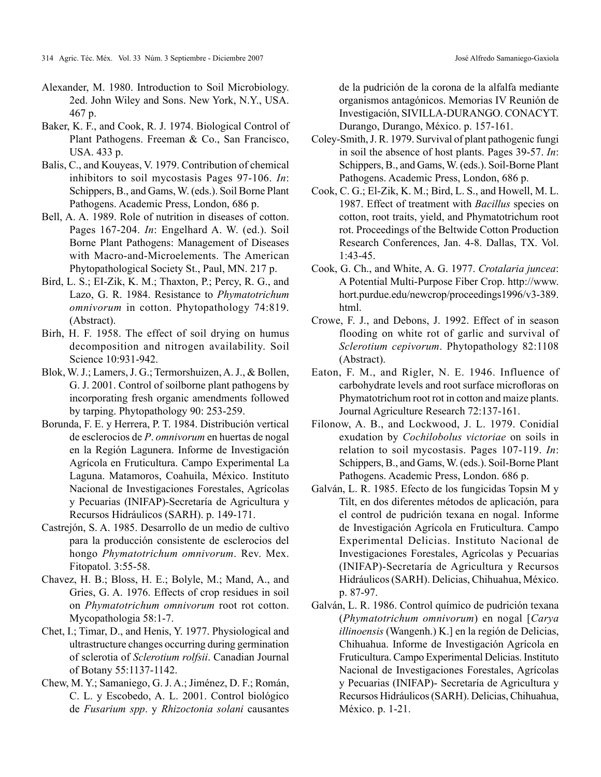- Alexander, M. 1980. Introduction to Soil Microbiology. 2ed. John Wiley and Sons. New York, N.Y., USA. 467 p.
- Baker, K. F., and Cook, R. J. 1974. Biological Control of Plant Pathogens. Freeman & Co., San Francisco, USA. 433 p.
- Balis, C., and Kouyeas, V. 1979. Contribution of chemical inhibitors to soil mycostasis Pages 97-106. *In*: Schippers, B., and Gams, W. (eds.). Soil Borne Plant Pathogens. Academic Press, London, 686 p.
- Bell, A. A. 1989. Role of nutrition in diseases of cotton. Pages 167-204. *In*: Engelhard A. W. (ed.). Soil Borne Plant Pathogens: Management of Diseases with Macro-and-Microelements. The American Phytopathological Society St., Paul, MN. 217 p.
- Bird, L. S.; EI-Zik, K. M.; Thaxton, P.; Percy, R. G., and Lazo, G. R. 1984. Resistance to *Phymatotrichum omnivorum* in cotton. Phytopathology 74:819. (Abstract).
- Birh, H. F. 1958. The effect of soil drying on humus decomposition and nitrogen availability. Soil Science 10:931-942.
- Blok, W. J.; Lamers, J. G.; Termorshuizen, A. J., & Bollen, G. J. 2001. Control of soilborne plant pathogens by incorporating fresh organic amendments followed by tarping. Phytopathology 90: 253-259.
- Borunda, F. E. y Herrera, P. T. 1984. Distribución vertical de esclerocios de *P*. *omnivorum* en huertas de nogal en la Región Lagunera. Informe de Investigación Agrícola en Fruticultura. Campo Experimental La Laguna. Matamoros, Coahuila, México. Instituto Nacional de Investigaciones Forestales, Agrícolas y Pecuarias (INIFAP)-Secretaría de Agricultura y Recursos Hidráulicos (SARH). p. 149-171.
- Castrejón, S. A. 1985. Desarrollo de un medio de cultivo para la producción consistente de esclerocios del hongo *Phymatotrichum omnivorum*. Rev. Mex. Fitopatol. 3:55-58.
- Chavez, H. B.; Bloss, H. E.; Bolyle, M.; Mand, A., and Gries, G. A. 1976. Effects of crop residues in soil on *Phymatotrichum omnivorum* root rot cotton. Mycopathologia 58:1-7.
- Chet, I.; Timar, D., and Henis, Y. 1977. Physiological and ultrastructure changes occurring during germination of sclerotia of *Sclerotium rolfsii*. Canadian Journal of Botany 55:1137-1142.
- Chew, M. Y.; Samaniego, G. J. A.; Jiménez, D. F.; Román, C. L. y Escobedo, A. L. 2001. Control biológico de *Fusarium spp*. y *Rhizoctonia solani* causantes

de la pudrición de la corona de la alfalfa mediante organismos antagónicos. Memorias IV Reunión de Investigación, SIVILLA-DURANGO. CONACYT. Durango, Durango, México. p. 157-161.

- Coley-Smith, J. R. 1979. Survival of plant pathogenic fungi in soil the absence of host plants. Pages 39-57. *In*: Schippers, B., and Gams, W. (eds.). Soil-Borne Plant Pathogens. Academic Press, London, 686 p.
- Cook, C. G.; El-Zik, K. M.; Bird, L. S., and Howell, M. L. 1987. Effect of treatment with *Bacillus* species on cotton, root traits, yield, and Phymatotrichum root rot. Proceedings of the Beltwide Cotton Production Research Conferences, Jan. 4-8. Dallas, TX. Vol. 1:43-45.
- Cook, G. Ch., and White, A. G. 1977. *Crotalaria juncea*: A Potential Multi-Purpose Fiber Crop. http://www. hort.purdue.edu/newcrop/proceedings1996/v3-389. html.
- Crowe, F. J., and Debons, J. 1992. Effect of in season flooding on white rot of garlic and survival of *Sclerotium cepivorum*. Phytopathology 82:1108 (Abstract).
- Eaton, F. M., and Rigler, N. E. 1946. Influence of carbohydrate levels and root surface microfloras on Phymatotrichum root rot in cotton and maize plants. Journal Agriculture Research 72:137-161.
- Filonow, A. B., and Lockwood, J. L. 1979. Conidial exudation by *Cochilobolus victoriae* on soils in relation to soil mycostasis. Pages 107-119. *In*: Schippers, B., and Gams, W. (eds.). Soil-Borne Plant Pathogens. Academic Press, London. 686 p.
- Galván, L. R. 1985. Efecto de los fungicidas Topsin M y Tilt, en dos diferentes métodos de aplicación, para el control de pudrición texana en nogal. Informe de Investigación Agrícola en Fruticultura. Campo Experimental Delicias. Instituto Nacional de Investigaciones Forestales, Agrícolas y Pecuarias (INIFAP)-Secretaría de Agricultura y Recursos Hidráulicos (SARH). Delicias, Chihuahua, México. p. 87-97.
- Galván, L. R. 1986. Control químico de pudrición texana (*Phymatotrichum omnivorum*) en nogal [*Carya illinoensis* (Wangenh.) K.] en la región de Delicias, Chihuahua. Informe de Investigación Agrícola en Fruticultura. Campo Experimental Delicias. Instituto Nacional de Investigaciones Forestales, Agrícolas y Pecuarias (INIFAP)- Secretaría de Agricultura y Recursos Hidráulicos (SARH). Delicias, Chihuahua, México. p. 1-21.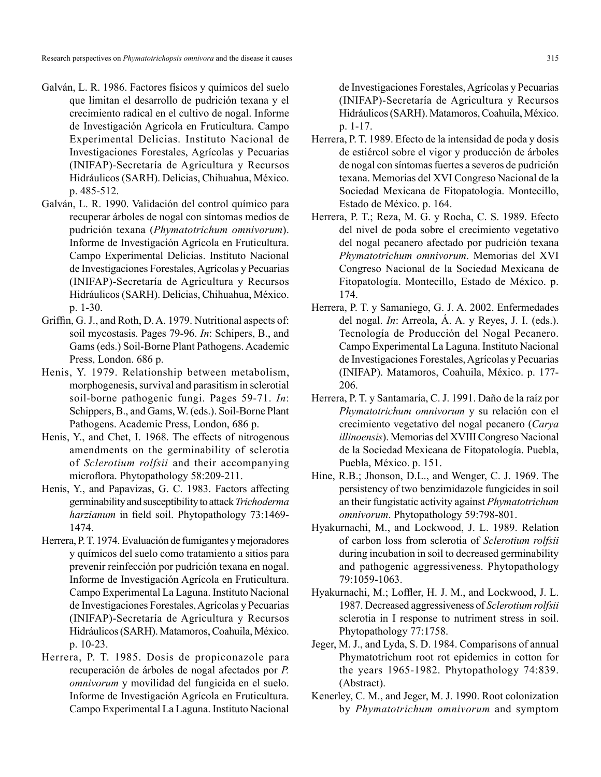- Galván, L. R. 1986. Factores físicos y químicos del suelo que limitan el desarrollo de pudrición texana y el crecimiento radical en el cultivo de nogal. Informe de Investigación Agrícola en Fruticultura. Campo Experimental Delicias. Instituto Nacional de Investigaciones Forestales, Agrícolas y Pecuarias (INIFAP)-Secretaría de Agricultura y Recursos Hidráulicos (SARH). Delicias, Chihuahua, México. p. 485-512.
- Galván, L. R. 1990. Validación del control químico para recuperar árboles de nogal con síntomas medios de pudrición texana (*Phymatotrichum omnivorum*). Informe de Investigación Agrícola en Fruticultura. Campo Experimental Delicias. Instituto Nacional de Investigaciones Forestales, Agrícolas y Pecuarias (INIFAP)-Secretaría de Agricultura y Recursos Hidráulicos (SARH). Delicias, Chihuahua, México. p. 1-30.
- Griffin, G. J., and Roth, D. A. 1979. Nutritional aspects of: soil mycostasis. Pages 79-96. *In*: Schipers, B., and Gams (eds.) Soil-Borne Plant Pathogens. Academic Press, London. 686 p.
- Henis, Y. 1979. Relationship between metabolism, morphogenesis, survival and parasitism in sclerotial soil-borne pathogenic fungi. Pages 59-71. *In*: Schippers, B., and Gams, W. (eds.). Soil-Borne Plant Pathogens. Academic Press, London, 686 p.
- Henis, Y., and Chet, I. 1968. The effects of nitrogenous amendments on the germinability of sclerotia of *Sclerotium rolfsii* and their accompanying microflora. Phytopathology 58:209-211.
- Henis, Y., and Papavizas, G. C. 1983. Factors affecting germinability and susceptibility to attack *Trichoderma harzianum* in field soil. Phytopathology 73:1469- 1474.
- Herrera, P. T. 1974. Evaluación de fumigantes y mejoradores y químicos del suelo como tratamiento a sitios para prevenir reinfección por pudrición texana en nogal. Informe de Investigación Agrícola en Fruticultura. Campo Experimental La Laguna. Instituto Nacional de Investigaciones Forestales, Agrícolas y Pecuarias (INIFAP)-Secretaría de Agricultura y Recursos Hidráulicos (SARH). Matamoros, Coahuila, México. p. 10-23.
- Herrera, P. T. 1985. Dosis de propiconazole para recuperación de árboles de nogal afectados por *P. omnivorum* y movilidad del fungicida en el suelo. Informe de Investigación Agrícola en Fruticultura. Campo Experimental La Laguna. Instituto Nacional

de Investigaciones Forestales, Agrícolas y Pecuarias (INIFAP)-Secretaría de Agricultura y Recursos Hidráulicos (SARH). Matamoros, Coahuila, México. p. 1-17.

- Herrera, P. T. 1989. Efecto de la intensidad de poda y dosis de estiércol sobre el vigor y producción de árboles de nogal con síntomas fuertes a severos de pudrición texana. Memorias del XVI Congreso Nacional de la Sociedad Mexicana de Fitopatología. Montecillo, Estado de México. p. 164.
- Herrera, P. T.; Reza, M. G. y Rocha, C. S. 1989. Efecto del nivel de poda sobre el crecimiento vegetativo del nogal pecanero afectado por pudrición texana *Phymatotrichum omnivorum*. Memorias del XVI Congreso Nacional de la Sociedad Mexicana de Fitopatología. Montecillo, Estado de México. p. 174.
- Herrera, P. T. y Samaniego, G. J. A. 2002. Enfermedades del nogal. *In*: Arreola, Á. A. y Reyes, J. I. (eds.). Tecnología de Producción del Nogal Pecanero. Campo Experimental La Laguna. Instituto Nacional de Investigaciones Forestales, Agrícolas y Pecuarias (INIFAP). Matamoros, Coahuila, México. p. 177- 206.
- Herrera, P. T. y Santamaría, C. J. 1991. Daño de la raíz por *Phymatotrichum omnivorum* y su relación con el crecimiento vegetativo del nogal pecanero (*Carya illinoensis*). Memorias del XVIII Congreso Nacional de la Sociedad Mexicana de Fitopatología. Puebla, Puebla, México. p. 151.
- Hine, R.B.; Jhonson, D.L., and Wenger, C. J. 1969. The persistency of two benzimidazole fungicides in soil an their fungistatic activity against *Phymatotrichum omnivorum*. Phytopathology 59:798-801.
- Hyakurnachi, M., and Lockwood, J. L. 1989. Relation of carbon loss from sclerotia of *Sclerotium rolfsii*  during incubation in soil to decreased germinability and pathogenic aggressiveness. Phytopathology 79:1059-1063.
- Hyakurnachi, M.; Loffler, H. J. M., and Lockwood, J. L. 1987. Decreased aggressiveness of *Sclerotium rolfsii*  sclerotia in I response to nutriment stress in soil. Phytopathology 77:1758.
- Jeger, M. J., and Lyda, S. D. 1984. Comparisons of annual Phymatotrichum root rot epidemics in cotton for the years 1965-1982. Phytopathology 74:839. (Abstract).
- Kenerley, C. M., and Jeger, M. J. 1990. Root colonization by *Phymatotrichum omnivorum* and symptom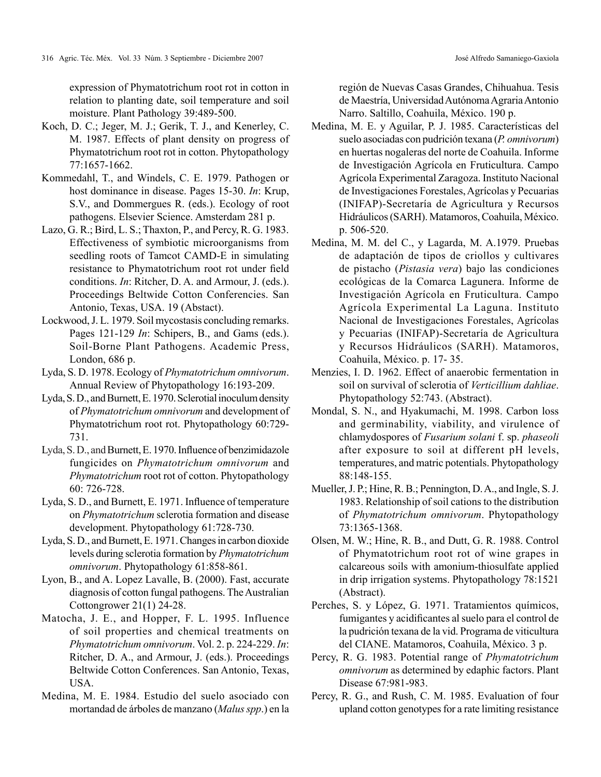expression of Phymatotrichum root rot in cotton in relation to planting date, soil temperature and soil moisture. Plant Pathology 39:489-500.

- Koch, D. C.; Jeger, M. J.; Gerik, T. J., and Kenerley, C. M. 1987. Effects of plant density on progress of Phymatotrichum root rot in cotton. Phytopathology 77:1657-1662.
- Kommedahl, T., and Windels, C. E. 1979. Pathogen or host dominance in disease. Pages 15-30. *In*: Krup, S.V., and Dommergues R. (eds.). Ecology of root pathogens. Elsevier Science. Amsterdam 281 p.
- Lazo, G. R.; Bird, L. S.; Thaxton, P., and Percy, R. G. 1983. Effectiveness of symbiotic microorganisms from seedling roots of Tamcot CAMD-E in simulating resistance to Phymatotrichum root rot under field conditions. *In*: Ritcher, D. A. and Armour, J. (eds.). Proceedings Beltwide Cotton Conferencies. San Antonio, Texas, USA. 19 (Abstact).
- Lockwood, J. L. 1979. Soil mycostasis concluding remarks. Pages 121-129 *In*: Schipers, B., and Gams (eds.). Soil-Borne Plant Pathogens. Academic Press, London, 686 p.
- Lyda, S. D. 1978. Ecology of *Phymatotrichum omnivorum*. Annual Review of Phytopathology 16:193-209.
- Lyda, S. D., and Burnett, E. 1970. Sclerotial inoculum density of *Phymatotrichum omnivorum* and development of Phymatotrichum root rot. Phytopathology 60:729- 731.
- Lyda, S. D., and Burnett, E. 1970. Influence of benzimidazole fungicides on *Phymatotrichum omnivorum* and *Phymatotrichum* root rot of cotton. Phytopathology 60: 726-728.
- Lyda, S. D., and Burnett, E. 1971. Influence of temperature on *Phymatotrichum* sclerotia formation and disease development. Phytopathology 61:728-730.
- Lyda, S. D., and Burnett, E. 1971. Changes in carbon dioxide levels during sclerotia formation by *Phymatotrichum omnivorum*. Phytopathology 61:858-861.
- Lyon, B., and A. Lopez Lavalle, B. (2000). Fast, accurate diagnosis of cotton fungal pathogens. The Australian Cottongrower 21(1) 24-28.
- Matocha, J. E., and Hopper, F. L. 1995. Influence of soil properties and chemical treatments on *Phymatotrichum omnivorum*. Vol. 2. p. 224-229. *In*: Ritcher, D. A., and Armour, J. (eds.). Proceedings Beltwide Cotton Conferences. San Antonio, Texas, USA.
- Medina, M. E. 1984. Estudio del suelo asociado con mortandad de árboles de manzano (*Malus spp*.) en la

región de Nuevas Casas Grandes, Chihuahua. Tesis de Maestría, Universidad Autónoma Agraria Antonio Narro. Saltillo, Coahuila, México. 190 p.

- Medina, M. E. y Aguilar, P. J. 1985. Características del suelo asociadas con pudrición texana (*P. omnivorum*) en huertas nogaleras del norte de Coahuila. Informe de Investigación Agrícola en Fruticultura. Campo Agrícola Experimental Zaragoza. Instituto Nacional de Investigaciones Forestales, Agrícolas y Pecuarias (INIFAP)-Secretaría de Agricultura y Recursos Hidráulicos (SARH). Matamoros, Coahuila, México. p. 506-520.
- Medina, M. M. del C., y Lagarda, M. A.1979. Pruebas de adaptación de tipos de criollos y cultivares de pistacho (*Pistasia vera*) bajo las condiciones ecológicas de la Comarca Lagunera. Informe de Investigación Agrícola en Fruticultura. Campo Agrícola Experimental La Laguna. Instituto Nacional de Investigaciones Forestales, Agrícolas y Pecuarias (INIFAP)-Secretaría de Agricultura y Recursos Hidráulicos (SARH). Matamoros, Coahuila, México. p. 17- 35.
- Menzies, I. D. 1962. Effect of anaerobic fermentation in soil on survival of sclerotia of *Verticillium dahliae*. Phytopathology 52:743. (Abstract).
- Mondal, S. N., and Hyakumachi, M. 1998. Carbon loss and germinability, viability, and virulence of chlamydospores of *Fusarium solani* f. sp. *phaseoli*  after exposure to soil at different pH levels, temperatures, and matric potentials. Phytopathology 88:148-155.
- Mueller, J. P.; Hine, R. B.; Pennington, D. A., and Ingle, S. J. 1983. Relationship of soil cations to the distribution of *Phymatotrichum omnivorum*. Phytopathology 73:1365-1368.
- Olsen, M. W.; Hine, R. B., and Dutt, G. R. 1988. Control of Phymatotrichum root rot of wine grapes in calcareous soils with amonium-thiosulfate applied in drip irrigation systems. Phytopathology 78:1521 (Abstract).
- Perches, S. y López, G. 1971. Tratamientos químicos, fumigantes y acidificantes al suelo para el control de la pudrición texana de la vid. Programa de viticultura del CIANE. Matamoros, Coahuila, México. 3 p.
- Percy, R. G. 1983. Potential range of *Phymatotrichum omnivorum* as determined by edaphic factors. Plant Disease 67:981-983.
- Percy, R. G., and Rush, C. M. 1985. Evaluation of four upland cotton genotypes for a rate limiting resistance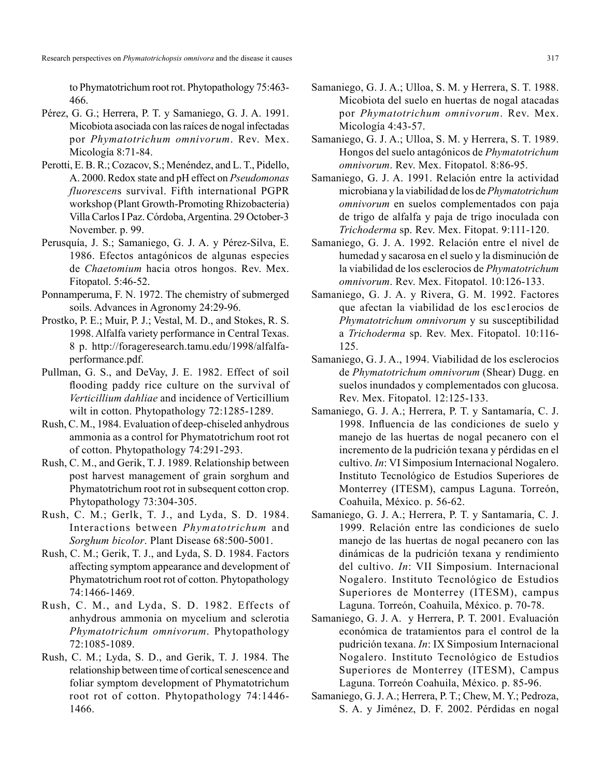Research perspectives on *Phymatotrichopsis omnivora* and the disease it causes 317

to Phymatotrichum root rot. Phytopathology 75:463- 466.

- Pérez, G. G.; Herrera, P. T. y Samaniego, G. J. A. 1991. Micobiota asociada con las raíces de nogal infectadas por *Phymatotrichum omnivorum*. Rev. Mex. Micología 8:71-84.
- Perotti, E. B. R.; Cozacov, S.; Menéndez, and L. T., Pidello, A. 2000. Redox state and pH effect on *Pseudomonas fluorescen*s survival. Fifth international PGPR workshop (Plant Growth-Promoting Rhizobacteria) Villa Carlos I Paz. Córdoba, Argentina. 29 October-3 November. p. 99.
- Perusquía, J. S.; Samaniego, G. J. A. y Pérez-Silva, E. 1986. Efectos antagónicos de algunas especies de *Chaetomium* hacia otros hongos. Rev. Mex. Fitopatol. 5:46-52.
- Ponnamperuma, F. N. 1972. The chemistry of submerged soils. Advances in Agronomy 24:29-96.
- Prostko, P. E.; Muir, P. J.; Vestal, M. D., and Stokes, R. S. 1998. Alfalfa variety performance in Central Texas. 8 p. http://forageresearch.tamu.edu/1998/alfalfaperformance.pdf.
- Pullman, G. S., and DeVay, J. E. 1982. Effect of soil flooding paddy rice culture on the survival of *Verticillium dahliae* and incidence of Verticillium wilt in cotton. Phytopathology 72:1285-1289.
- Rush, C. M., 1984. Evaluation of deep-chiseled anhydrous ammonia as a control for Phymatotrichum root rot of cotton. Phytopathology 74:291-293.
- Rush, C. M., and Gerik, T. J. 1989. Relationship between post harvest management of grain sorghum and Phymatotrichum root rot in subsequent cotton crop. Phytopathology 73:304-305.
- Rush, C. M.; Gerlk, T. J., and Lyda, S. D. 1984. Interactions between *Phymatotrichum* and *Sorghum bicolor*. Plant Disease 68:500-5001.
- Rush, C. M.; Gerik, T. J., and Lyda, S. D. 1984. Factors affecting symptom appearance and development of Phymatotrichum root rot of cotton. Phytopathology 74:1466-1469.
- Rush, C. M., and Lyda, S. D. 1982. Effects of anhydrous ammonia on mycelium and sclerotia *Phymatotrichum omnivorum*. Phytopathology 72:1085-1089.
- Rush, C. M.; Lyda, S. D., and Gerik, T. J. 1984. The relationship between time of cortical senescence and foliar symptom development of Phymatotrichum root rot of cotton. Phytopathology 74:1446- 1466.
- Samaniego, G. J. A.; Ulloa, S. M. y Herrera, S. T. 1988. Micobiota del suelo en huertas de nogal atacadas por *Phymatotrichum omnivorum*. Rev. Mex. Micología 4:43-57.
- Samaniego, G. J. A.; Ulloa, S. M. y Herrera, S. T. 1989. Hongos del suelo antagónicos de *Phymatotrichum omnivorum*. Rev. Mex. Fitopatol. 8:86-95.
- Samaniego, G. J. A. 1991. Relación entre la actividad microbiana y la viabilidad de los de *Phymatotrichum omnivorum* en suelos complementados con paja de trigo de alfalfa y paja de trigo inoculada con *Trichoderma* sp. Rev. Mex. Fitopat. 9:111-120.
- Samaniego, G. J. A. 1992. Relación entre el nivel de humedad y sacarosa en el suelo y la disminución de la viabilidad de los esclerocios de *Phymatotrichum omnivorum*. Rev. Mex. Fitopatol. 10:126-133.
- Samaniego, G. J. A. y Rivera, G. M. 1992. Factores que afectan la viabilidad de los esc1erocios de *Phymatotrichum omnivorum* y su susceptibilidad a *Trichoderma* sp. Rev. Mex. Fitopatol. 10:116- 125.
- Samaniego, G. J. A., 1994. Viabilidad de los esclerocios de *Phymatotrichum omnivorum* (Shear) Dugg. en suelos inundados y complementados con glucosa. Rev. Mex. Fitopatol. 12:125-133.
- Samaniego, G. J. A.; Herrera, P. T. y Santamaría, C. J. 1998. Influencia de las condiciones de suelo y manejo de las huertas de nogal pecanero con el incremento de la pudrición texana y pérdidas en el cultivo. *In*: VI Simposium Internacional Nogalero. Instituto Tecnológico de Estudios Superiores de Monterrey (ITESM), campus Laguna. Torreón, Coahuila, México. p. 56-62.
- Samaniego, G. J. A.; Herrera, P. T. y Santamaría, C. J. 1999. Relación entre las condiciones de suelo manejo de las huertas de nogal pecanero con las dinámicas de la pudrición texana y rendimiento del cultivo. *In*: VII Simposium. Internacional Nogalero. Instituto Tecnológico de Estudios Superiores de Monterrey (ITESM), campus Laguna. Torreón, Coahuila, México. p. 70-78.
- Samaniego, G. J. A. y Herrera, P. T. 2001. Evaluación económica de tratamientos para el control de la pudrición texana. *In*: IX Simposium Internacional Nogalero. Instituto Tecnológico de Estudios Superiores de Monterrey (ITESM), Campus Laguna. Torreón Coahuila, México. p. 85-96.
- Samaniego, G. J. A.; Herrera, P. T.; Chew, M. Y.; Pedroza, S. A. y Jiménez, D. F. 2002. Pérdidas en nogal